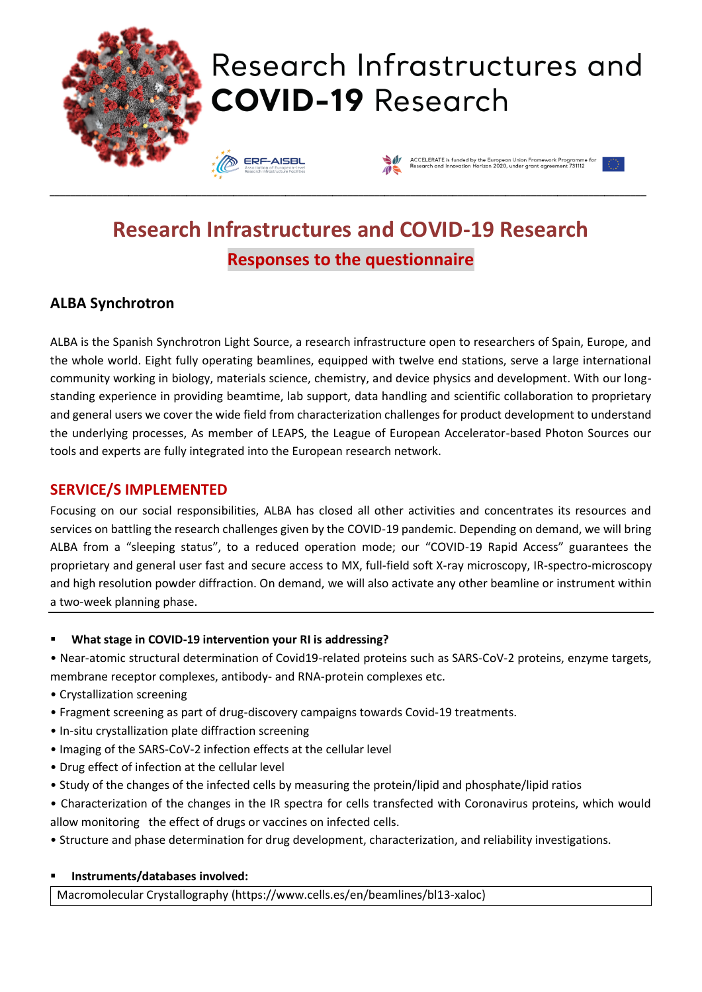

# **Research Infrastructures and COVID-19 Research Responses to the questionnaire**

## **ALBA Synchrotron**

ALBA is the Spanish Synchrotron Light Source, a research infrastructure open to researchers of Spain, Europe, and the whole world. Eight fully operating beamlines, equipped with twelve end stations, serve a large international community working in biology, materials science, chemistry, and device physics and development. With our longstanding experience in providing beamtime, lab support, data handling and scientific collaboration to proprietary and general users we cover the wide field from characterization challenges for product development to understand the underlying processes, As member of LEAPS, the League of European Accelerator-based Photon Sources our tools and experts are fully integrated into the European research network.

### **SERVICE/S IMPLEMENTED**

Focusing on our social responsibilities, ALBA has closed all other activities and concentrates its resources and services on battling the research challenges given by the COVID-19 pandemic. Depending on demand, we will bring ALBA from a "sleeping status", to a reduced operation mode; our "COVID-19 Rapid Access" guarantees the proprietary and general user fast and secure access to MX, full-field soft X-ray microscopy, IR-spectro-microscopy and high resolution powder diffraction. On demand, we will also activate any other beamline or instrument within a two-week planning phase.

▪ **What stage in COVID-19 intervention your RI is addressing?**

• Near-atomic structural determination of Covid19-related proteins such as SARS-CoV-2 proteins, enzyme targets, membrane receptor complexes, antibody- and RNA-protein complexes etc.

- Crystallization screening
- Fragment screening as part of drug-discovery campaigns towards Covid-19 treatments.
- In-situ crystallization plate diffraction screening
- Imaging of the SARS-CoV-2 infection effects at the cellular level
- Drug effect of infection at the cellular level
- Study of the changes of the infected cells by measuring the protein/lipid and phosphate/lipid ratios

• Characterization of the changes in the IR spectra for cells transfected with Coronavirus proteins, which would allow monitoring the effect of drugs or vaccines on infected cells.

• Structure and phase determination for drug development, characterization, and reliability investigations.

#### ▪ **Instruments/databases involved:**

Macromolecular Crystallography (https://www.cells.es/en/beamlines/bl13-xaloc)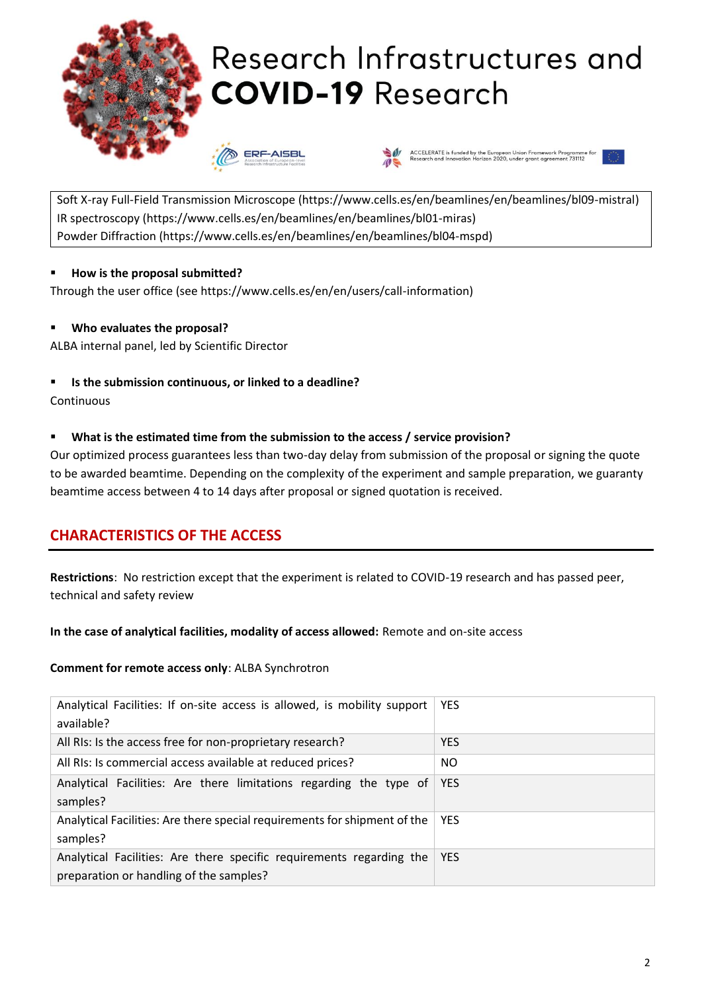

# Research Infrastructures and **COVID-19 Research**





Soft X-ray Full-Field Transmission Microscope (https://www.cells.es/en/beamlines/en/beamlines/bl09-mistral) IR spectroscopy (https://www.cells.es/en/beamlines/en/beamlines/bl01-miras) Powder Diffraction (https://www.cells.es/en/beamlines/en/beamlines/bl04-mspd)

#### ▪ **How is the proposal submitted?**

Through the user office (see https://www.cells.es/en/en/users/call-information)

#### ▪ **Who evaluates the proposal?**

ALBA internal panel, led by Scientific Director

▪ **Is the submission continuous, or linked to a deadline?**

**Continuous** 

#### ▪ **What is the estimated time from the submission to the access / service provision?**

Our optimized process guarantees less than two-day delay from submission of the proposal or signing the quote to be awarded beamtime. Depending on the complexity of the experiment and sample preparation, we guaranty beamtime access between 4 to 14 days after proposal or signed quotation is received.

# **CHARACTERISTICS OF THE ACCESS**

**Restrictions**: No restriction except that the experiment is related to COVID-19 research and has passed peer, technical and safety review

**In the case of analytical facilities, modality of access allowed:** Remote and on-site access

#### **Comment for remote access only**: ALBA Synchrotron

| Analytical Facilities: If on-site access is allowed, is mobility support<br>available?                          | <b>YES</b> |
|-----------------------------------------------------------------------------------------------------------------|------------|
| All RIs: Is the access free for non-proprietary research?                                                       | <b>YES</b> |
| All RIs: Is commercial access available at reduced prices?                                                      | NO.        |
| Analytical Facilities: Are there limitations regarding the type of<br>samples?                                  | <b>YES</b> |
| Analytical Facilities: Are there special requirements for shipment of the<br>samples?                           | <b>YES</b> |
| Analytical Facilities: Are there specific requirements regarding the<br>preparation or handling of the samples? | <b>YES</b> |